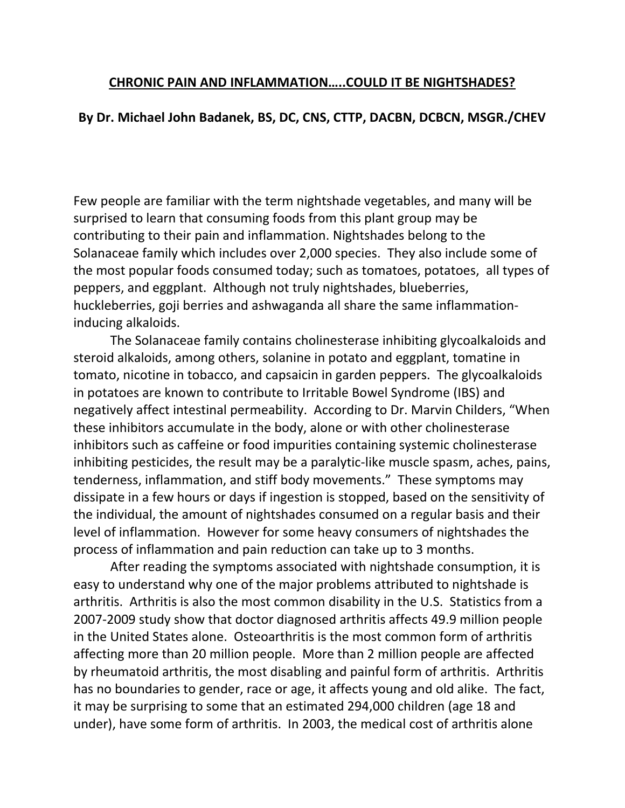## **CHRONIC PAIN AND INFLAMMATION…..COULD IT BE NIGHTSHADES?**

## **By Dr. Michael John Badanek, BS, DC, CNS, CTTP, DACBN, DCBCN, MSGR./CHEV**

Few people are familiar with the term nightshade vegetables, and many will be surprised to learn that consuming foods from this plant group may be contributing to their pain and inflammation. Nightshades belong to the Solanaceae family which includes over 2,000 species. They also include some of the most popular foods consumed today; such as tomatoes, potatoes, all types of peppers, and eggplant. Although not truly nightshades, blueberries, huckleberries, goji berries and ashwaganda all share the same inflammationinducing alkaloids.

The Solanaceae family contains cholinesterase inhibiting glycoalkaloids and steroid alkaloids, among others, solanine in potato and eggplant, tomatine in tomato, nicotine in tobacco, and capsaicin in garden peppers. The glycoalkaloids in potatoes are known to contribute to Irritable Bowel Syndrome (IBS) and negatively affect intestinal permeability. According to Dr. Marvin Childers, "When these inhibitors accumulate in the body, alone or with other cholinesterase inhibitors such as caffeine or food impurities containing systemic cholinesterase inhibiting pesticides, the result may be a paralytic-like muscle spasm, aches, pains, tenderness, inflammation, and stiff body movements." These symptoms may dissipate in a few hours or days if ingestion is stopped, based on the sensitivity of the individual, the amount of nightshades consumed on a regular basis and their level of inflammation. However for some heavy consumers of nightshades the process of inflammation and pain reduction can take up to 3 months.

After reading the symptoms associated with nightshade consumption, it is easy to understand why one of the major problems attributed to nightshade is arthritis. Arthritis is also the most common disability in the U.S. Statistics from a 2007-2009 study show that doctor diagnosed arthritis affects 49.9 million people in the United States alone. Osteoarthritis is the most common form of arthritis affecting more than 20 million people. More than 2 million people are affected by rheumatoid arthritis, the most disabling and painful form of arthritis. Arthritis has no boundaries to gender, race or age, it affects young and old alike. The fact, it may be surprising to some that an estimated 294,000 children (age 18 and under), have some form of arthritis. In 2003, the medical cost of arthritis alone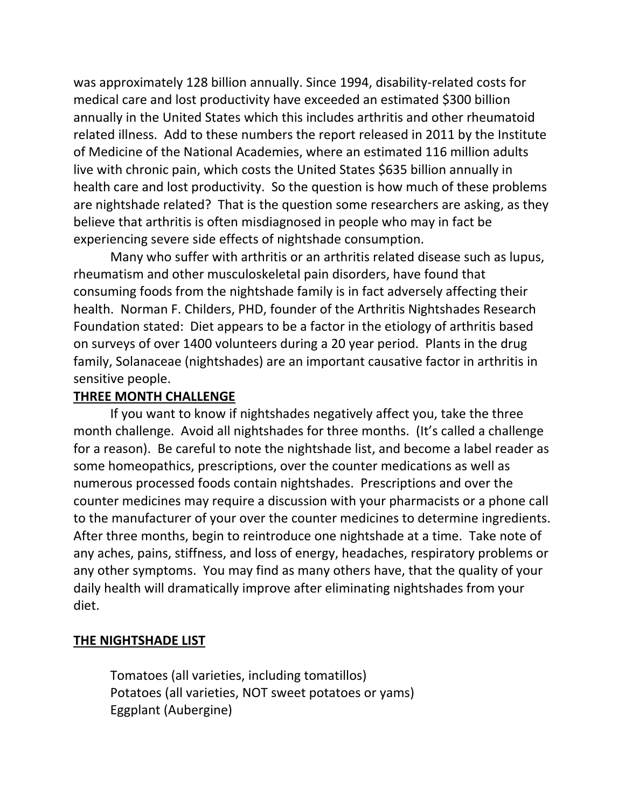was approximately 128 billion annually. Since 1994, disability-related costs for medical care and lost productivity have exceeded an estimated \$300 billion annually in the United States which this includes arthritis and other rheumatoid related illness. Add to these numbers the report released in 2011 by the Institute of Medicine of the National Academies, where an estimated 116 million adults live with chronic pain, which costs the United States \$635 billion annually in health care and lost productivity. So the question is how much of these problems are nightshade related? That is the question some researchers are asking, as they believe that arthritis is often misdiagnosed in people who may in fact be experiencing severe side effects of nightshade consumption.

Many who suffer with arthritis or an arthritis related disease such as lupus, rheumatism and other musculoskeletal pain disorders, have found that consuming foods from the nightshade family is in fact adversely affecting their health. Norman F. Childers, PHD, founder of the Arthritis Nightshades Research Foundation stated: Diet appears to be a factor in the etiology of arthritis based on surveys of over 1400 volunteers during a 20 year period. Plants in the drug family, Solanaceae (nightshades) are an important causative factor in arthritis in sensitive people.

### **THREE MONTH CHALLENGE**

If you want to know if nightshades negatively affect you, take the three month challenge. Avoid all nightshades for three months. (It's called a challenge for a reason). Be careful to note the nightshade list, and become a label reader as some homeopathics, prescriptions, over the counter medications as well as numerous processed foods contain nightshades. Prescriptions and over the counter medicines may require a discussion with your pharmacists or a phone call to the manufacturer of your over the counter medicines to determine ingredients. After three months, begin to reintroduce one nightshade at a time. Take note of any aches, pains, stiffness, and loss of energy, headaches, respiratory problems or any other symptoms. You may find as many others have, that the quality of your daily health will dramatically improve after eliminating nightshades from your diet.

#### **THE NIGHTSHADE LIST**

Tomatoes (all varieties, including tomatillos) Potatoes (all varieties, NOT sweet potatoes or yams) Eggplant (Aubergine)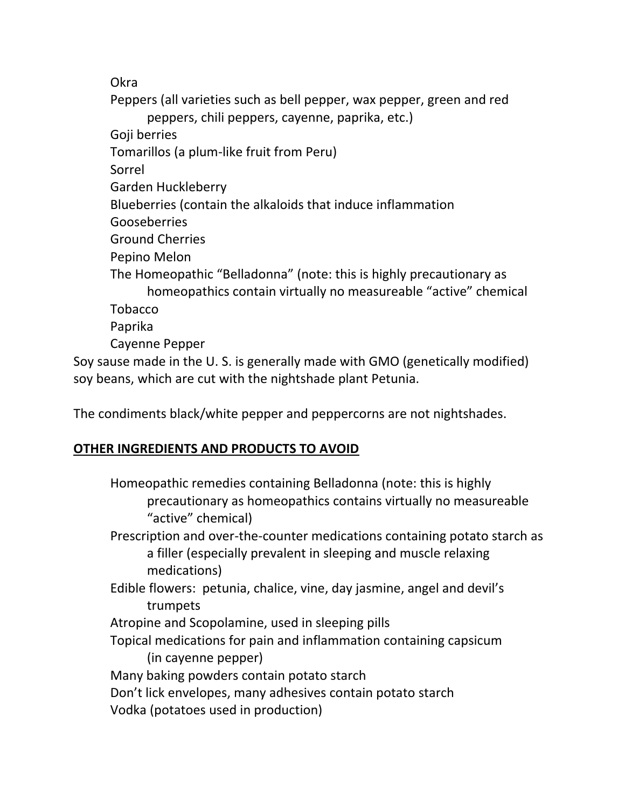Okra

Peppers (all varieties such as bell pepper, wax pepper, green and red peppers, chili peppers, cayenne, paprika, etc.) Goji berries Tomarillos (a plum-like fruit from Peru) Sorrel Garden Huckleberry Blueberries (contain the alkaloids that induce inflammation Gooseberries Ground Cherries Pepino Melon The Homeopathic "Belladonna" (note: this is highly precautionary as homeopathics contain virtually no measureable "active" chemical Tobacco Paprika Cayenne Pepper Soy sause made in the U. S. is generally made with GMO (genetically modified) soy beans, which are cut with the nightshade plant Petunia.

The condiments black/white pepper and peppercorns are not nightshades.

# **OTHER INGREDIENTS AND PRODUCTS TO AVOID**

Homeopathic remedies containing Belladonna (note: this is highly precautionary as homeopathics contains virtually no measureable "active" chemical) Prescription and over-the-counter medications containing potato starch as a filler (especially prevalent in sleeping and muscle relaxing medications) Edible flowers: petunia, chalice, vine, day jasmine, angel and devil's trumpets Atropine and Scopolamine, used in sleeping pills Topical medications for pain and inflammation containing capsicum (in cayenne pepper) Many baking powders contain potato starch Don't lick envelopes, many adhesives contain potato starch Vodka (potatoes used in production)